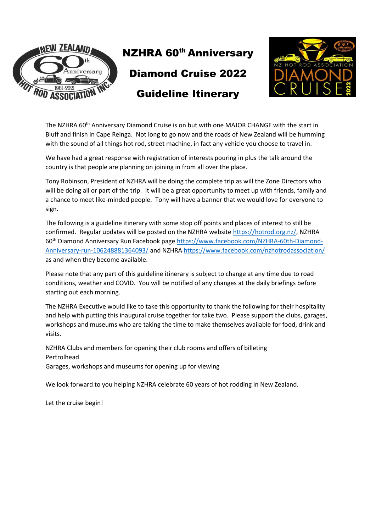



The NZHRA 60<sup>th</sup> Anniversary Diamond Cruise is on but with one MAJOR CHANGE with the start in Bluff and finish in Cape Reinga. Not long to go now and the roads of New Zealand will be humming with the sound of all things hot rod, street machine, in fact any vehicle you choose to travel in.

We have had a great response with registration of interests pouring in plus the talk around the country is that people are planning on joining in from all over the place.

Tony Robinson, President of NZHRA will be doing the complete trip as will the Zone Directors who will be doing all or part of the trip. It will be a great opportunity to meet up with friends, family and a chance to meet like-minded people. Tony will have a banner that we would love for everyone to sign.

The following is a guideline itinerary with some stop off points and places of interest to still be confirmed. Regular updates will be posted on the NZHRA website [https://hotrod.org.nz/,](https://hotrod.org.nz/) NZHRA 60th Diamond Anniversary Run Facebook page [https://www.facebook.com/NZHRA-60th-Diamond-](https://www.facebook.com/NZHRA-60th-Diamond-Anniversary-run-106248881364093/)[Anniversary-run-106248881364093/](https://www.facebook.com/NZHRA-60th-Diamond-Anniversary-run-106248881364093/) and NZHRA<https://www.facebook.com/nzhotrodassociation/> as and when they become available.

Please note that any part of this guideline itinerary is subject to change at any time due to road conditions, weather and COVID. You will be notified of any changes at the daily briefings before starting out each morning.

The NZHRA Executive would like to take this opportunity to thank the following for their hospitality and help with putting this inaugural cruise together for take two. Please support the clubs, garages, workshops and museums who are taking the time to make themselves available for food, drink and visits.

NZHRA Clubs and members for opening their club rooms and offers of billeting Pertrolhead Garages, workshops and museums for opening up for viewing

We look forward to you helping NZHRA celebrate 60 years of hot rodding in New Zealand.

Let the cruise begin!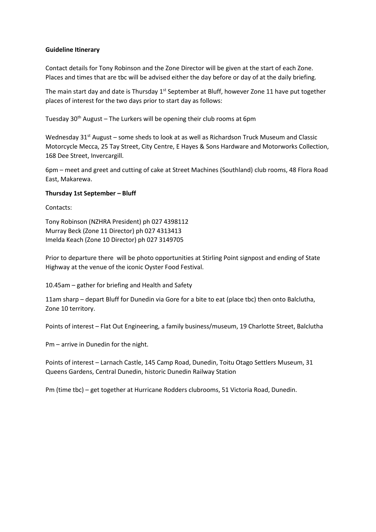### **Guideline Itinerary**

Contact details for Tony Robinson and the Zone Director will be given at the start of each Zone. Places and times that are tbc will be advised either the day before or day of at the daily briefing.

The main start day and date is Thursday 1<sup>st</sup> September at Bluff, however Zone 11 have put together places of interest for the two days prior to start day as follows:

Tuesday  $30<sup>th</sup>$  August – The Lurkers will be opening their club rooms at 6pm

Wednesday 31<sup>st</sup> August – some sheds to look at as well as Richardson Truck Museum and Classic Motorcycle Mecca, 25 Tay Street, City Centre, E Hayes & Sons Hardware and Motorworks Collection, 168 Dee Street, Invercargill.

6pm – meet and greet and cutting of cake at Street Machines (Southland) club rooms, 48 Flora Road East, Makarewa.

#### **Thursday 1st September – Bluff**

Contacts:

Tony Robinson (NZHRA President) ph 027 4398112 Murray Beck (Zone 11 Director) ph 027 4313413 Imelda Keach (Zone 10 Director) ph 027 3149705

Prior to departure there will be photo opportunities at Stirling Point signpost and ending of State Highway at the venue of the iconic Oyster Food Festival.

10.45am – gather for briefing and Health and Safety

11am sharp – depart Bluff for Dunedin via Gore for a bite to eat (place tbc) then onto Balclutha, Zone 10 territory.

Points of interest – Flat Out Engineering, a family business/museum, 19 Charlotte Street, Balclutha

Pm – arrive in Dunedin for the night.

Points of interest – Larnach Castle, 145 Camp Road, Dunedin, Toitu Otago Settlers Museum, 31 Queens Gardens, Central Dunedin, historic Dunedin Railway Station

Pm (time tbc) – get together at Hurricane Rodders clubrooms, 51 Victoria Road, Dunedin.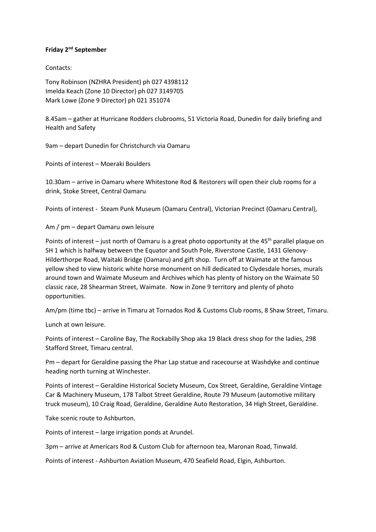## **Friday 2nd September**

Contacts:

Tony Robinson (NZHRA President) ph 027 4398112 Imelda Keach (Zone 10 Director) ph 027 3149705 Mark Lowe (Zone 9 Director) ph 021 351074

8.45am – gather at Hurricane Rodders clubrooms, 51 Victoria Road, Dunedin for daily briefing and Health and Safety

9am – depart Dunedin for Christchurch via Oamaru

Points of interest – Moeraki Boulders

10.30am – arrive in Oamaru where Whitestone Rod & Restorers will open their club rooms for a drink, Stoke Street, Central Oamaru

Points of interest - Steam Punk Museum (Oamaru Central), Victorian Precinct (Oamaru Central),

Am / pm – depart Oamaru own leisure

Points of interest – just north of Oamaru is a great photo opportunity at the 45<sup>th</sup> parallel plaque on SH 1 which is halfway between the Equator and South Pole, Riverstone Castle, 1431 Glenovy-Hilderthorpe Road, Waitaki Bridge (Oamaru) and gift shop. Turn off at Waimate at the famous yellow shed to view historic white horse monument on hill dedicated to Clydesdale horses, murals around town and Waimate Museum and Archives which has plenty of history on the Waimate 50 classic race, 28 Shearman Street, Waimate. Now in Zone 9 territory and plenty of photo opportunities.

Am/pm (time tbc) – arrive in Timaru at Tornados Rod & Customs Club rooms, 8 Shaw Street, Timaru.

Lunch at own leisure.

Points of interest – Caroline Bay, The Rockabilly Shop aka 19 Black dress shop for the ladies, 298 Stafford Street, Timaru central.

Pm – depart for Geraldine passing the Phar Lap statue and racecourse at Washdyke and continue heading north turning at Winchester.

Points of interest – Geraldine Historical Society Museum, Cox Street, Geraldine, Geraldine Vintage Car & Machinery Museum, 178 Talbot Street Geraldine, Route 79 Museum (automotive military truck museum), 10 Craig Road, Geraldine, Geraldine Auto Restoration, 34 High Street, Geraldine.

Take scenic route to Ashburton.

Points of interest – large irrigation ponds at Arundel.

3pm – arrive at Americars Rod & Custom Club for afternoon tea, Maronan Road, Tinwald.

Points of interest - Ashburton Aviation Museum, 470 Seafield Road, Elgin, Ashburton.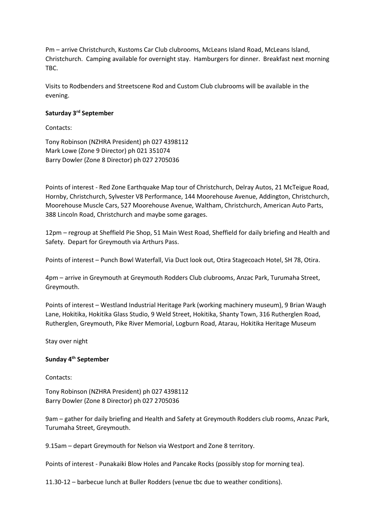Pm – arrive Christchurch, Kustoms Car Club clubrooms, McLeans Island Road, McLeans Island, Christchurch. Camping available for overnight stay. Hamburgers for dinner. Breakfast next morning TBC.

Visits to Rodbenders and Streetscene Rod and Custom Club clubrooms will be available in the evening.

#### **Saturday 3rd September**

Contacts:

Tony Robinson (NZHRA President) ph 027 4398112 Mark Lowe (Zone 9 Director) ph 021 351074 Barry Dowler (Zone 8 Director) ph 027 2705036

Points of interest - Red Zone Earthquake Map tour of Christchurch, Delray Autos, 21 McTeigue Road, Hornby, Christchurch, Sylvester V8 Performance, 144 Moorehouse Avenue, Addington, Christchurch, Moorehouse Muscle Cars, 527 Moorehouse Avenue, Waltham, Christchurch, American Auto Parts, 388 Lincoln Road, Christchurch and maybe some garages.

12pm – regroup at Sheffield Pie Shop, 51 Main West Road, Sheffield for daily briefing and Health and Safety. Depart for Greymouth via Arthurs Pass.

Points of interest – Punch Bowl Waterfall, Via Duct look out, Otira Stagecoach Hotel, SH 78, Otira.

4pm – arrive in Greymouth at Greymouth Rodders Club clubrooms, Anzac Park, Turumaha Street, Greymouth.

Points of interest – Westland Industrial Heritage Park (working machinery museum), 9 Brian Waugh Lane, Hokitika, Hokitika Glass Studio, 9 Weld Street, Hokitika, Shanty Town, 316 Rutherglen Road, Rutherglen, Greymouth, Pike River Memorial, Logburn Road, Atarau, Hokitika Heritage Museum

Stay over night

#### **Sunday 4th September**

Contacts:

Tony Robinson (NZHRA President) ph 027 4398112 Barry Dowler (Zone 8 Director) ph 027 2705036

9am – gather for daily briefing and Health and Safety at Greymouth Rodders club rooms, Anzac Park, Turumaha Street, Greymouth.

9.15am – depart Greymouth for Nelson via Westport and Zone 8 territory.

Points of interest - Punakaiki Blow Holes and Pancake Rocks (possibly stop for morning tea).

11.30-12 – barbecue lunch at Buller Rodders (venue tbc due to weather conditions).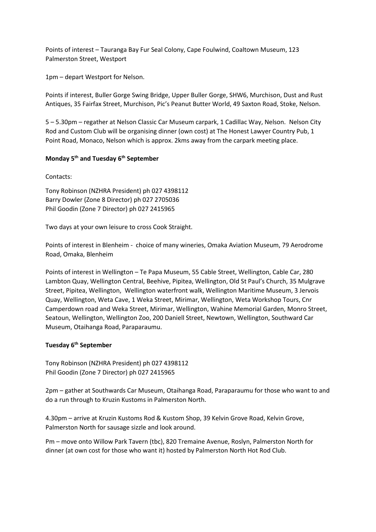Points of interest – Tauranga Bay Fur Seal Colony, Cape Foulwind, Coaltown Museum, 123 Palmerston Street, Westport

1pm – depart Westport for Nelson.

Points if interest, Buller Gorge Swing Bridge, Upper Buller Gorge, SHW6, Murchison, Dust and Rust Antiques, 35 Fairfax Street, Murchison, Pic's Peanut Butter World, 49 Saxton Road, Stoke, Nelson.

5 – 5.30pm – regather at Nelson Classic Car Museum carpark, 1 Cadillac Way, Nelson. Nelson City Rod and Custom Club will be organising dinner (own cost) at The Honest Lawyer Country Pub, 1 Point Road, Monaco, Nelson which is approx. 2kms away from the carpark meeting place.

# **Monday 5th and Tuesday 6th September**

Contacts:

Tony Robinson (NZHRA President) ph 027 4398112 Barry Dowler (Zone 8 Director) ph 027 2705036 Phil Goodin (Zone 7 Director) ph 027 2415965

Two days at your own leisure to cross Cook Straight.

Points of interest in Blenheim - choice of many wineries, Omaka Aviation Museum, 79 Aerodrome Road, Omaka, Blenheim

Points of interest in Wellington – Te Papa Museum, 55 Cable Street, Wellington, Cable Car, 280 Lambton Quay, Wellington Central, Beehive, Pipitea, Wellington, Old St Paul's Church, 35 Mulgrave Street, Pipitea, Wellington, Wellington waterfront walk, Wellington Maritime Museum, 3 Jervois Quay, Wellington, Weta Cave, 1 Weka Street, Mirimar, Wellington, Weta Workshop Tours, Cnr Camperdown road and Weka Street, Mirimar, Wellington, Wahine Memorial Garden, Monro Street, Seatoun, Wellington, Wellington Zoo, 200 Daniell Street, Newtown, Wellington, Southward Car Museum, Otaihanga Road, Paraparaumu.

## **Tuesday 6th September**

Tony Robinson (NZHRA President) ph 027 4398112 Phil Goodin (Zone 7 Director) ph 027 2415965

2pm – gather at Southwards Car Museum, Otaihanga Road, Paraparaumu for those who want to and do a run through to Kruzin Kustoms in Palmerston North.

4.30pm – arrive at Kruzin Kustoms Rod & Kustom Shop, 39 Kelvin Grove Road, Kelvin Grove, Palmerston North for sausage sizzle and look around.

Pm – move onto Willow Park Tavern (tbc), 820 Tremaine Avenue, Roslyn, Palmerston North for dinner (at own cost for those who want it) hosted by Palmerston North Hot Rod Club.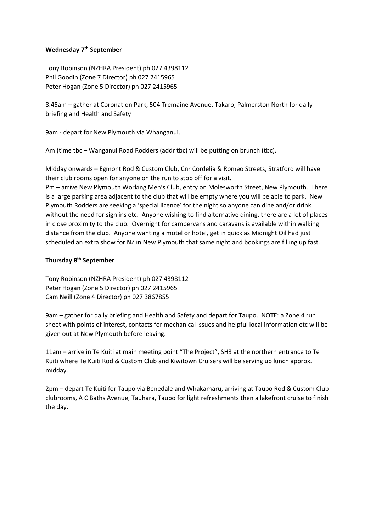## **Wednesday 7th September**

Tony Robinson (NZHRA President) ph 027 4398112 Phil Goodin (Zone 7 Director) ph 027 2415965 Peter Hogan (Zone 5 Director) ph 027 2415965

8.45am – gather at Coronation Park, 504 Tremaine Avenue, Takaro, Palmerston North for daily briefing and Health and Safety

9am - depart for New Plymouth via Whanganui.

Am (time tbc – Wanganui Road Rodders (addr tbc) will be putting on brunch (tbc).

Midday onwards – Egmont Rod & Custom Club, Cnr Cordelia & Romeo Streets, Stratford will have their club rooms open for anyone on the run to stop off for a visit.

Pm – arrive New Plymouth Working Men's Club, entry on Molesworth Street, New Plymouth. There is a large parking area adjacent to the club that will be empty where you will be able to park. New Plymouth Rodders are seeking a 'special licence' for the night so anyone can dine and/or drink without the need for sign ins etc. Anyone wishing to find alternative dining, there are a lot of places in close proximity to the club. Overnight for campervans and caravans is available within walking distance from the club. Anyone wanting a motel or hotel, get in quick as Midnight Oil had just scheduled an extra show for NZ in New Plymouth that same night and bookings are filling up fast.

## **Thursday 8th September**

Tony Robinson (NZHRA President) ph 027 4398112 Peter Hogan (Zone 5 Director) ph 027 2415965 Cam Neill (Zone 4 Director) ph 027 3867855

9am – gather for daily briefing and Health and Safety and depart for Taupo. NOTE: a Zone 4 run sheet with points of interest, contacts for mechanical issues and helpful local information etc will be given out at New Plymouth before leaving.

11am – arrive in Te Kuiti at main meeting point "The Project", SH3 at the northern entrance to Te Kuiti where Te Kuiti Rod & Custom Club and Kiwitown Cruisers will be serving up lunch approx. midday.

2pm – depart Te Kuiti for Taupo via Benedale and Whakamaru, arriving at Taupo Rod & Custom Club clubrooms, A C Baths Avenue, Tauhara, Taupo for light refreshments then a lakefront cruise to finish the day.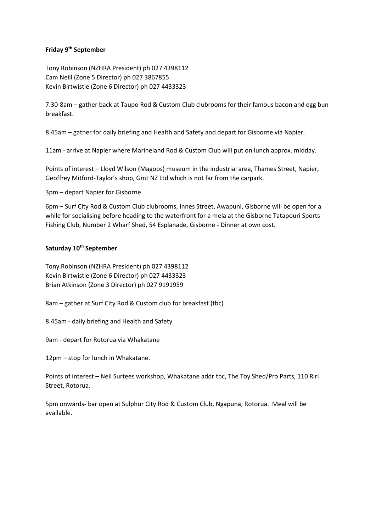## **Friday 9th September**

Tony Robinson (NZHRA President) ph 027 4398112 Cam Neill (Zone 5 Director) ph 027 3867855 Kevin Birtwistle (Zone 6 Director) ph 027 4433323

7.30-8am – gather back at Taupo Rod & Custom Club clubrooms for their famous bacon and egg bun breakfast.

8.45am – gather for daily briefing and Health and Safety and depart for Gisborne via Napier.

11am - arrive at Napier where Marineland Rod & Custom Club will put on lunch approx. midday.

Points of interest – Lloyd Wilson (Magoos) museum in the industrial area, Thames Street, Napier, Geoffrey Mitford-Taylor's shop, Gmt NZ Ltd which is not far from the carpark.

3pm – depart Napier for Gisborne.

6pm – Surf City Rod & Custom Club clubrooms, Innes Street, Awapuni, Gisborne will be open for a while for socialising before heading to the waterfront for a mela at the Gisborne Tatapouri Sports Fishing Club, Number 2 Wharf Shed, 54 Esplanade, Gisborne - Dinner at own cost.

# **Saturday 10th September**

Tony Robinson (NZHRA President) ph 027 4398112 Kevin Birtwistle (Zone 6 Director) ph 027 4433323 Brian Atkinson (Zone 3 Director) ph 027 9191959

8am – gather at Surf City Rod & Custom club for breakfast (tbc)

8.45am - daily briefing and Health and Safety

9am - depart for Rotorua via Whakatane

12pm – stop for lunch in Whakatane.

Points of interest – Neil Surtees workshop, Whakatane addr tbc, The Toy Shed/Pro Parts, 110 Riri Street, Rotorua.

5pm onwards- bar open at Sulphur City Rod & Custom Club, Ngapuna, Rotorua. Meal will be available.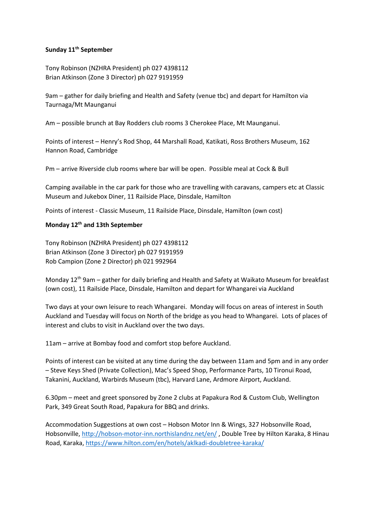## **Sunday 11th September**

Tony Robinson (NZHRA President) ph 027 4398112 Brian Atkinson (Zone 3 Director) ph 027 9191959

9am – gather for daily briefing and Health and Safety (venue tbc) and depart for Hamilton via Taurnaga/Mt Maunganui

Am – possible brunch at Bay Rodders club rooms 3 Cherokee Place, Mt Maunganui.

Points of interest – Henry's Rod Shop, 44 Marshall Road, Katikati, Ross Brothers Museum, 162 Hannon Road, Cambridge

Pm – arrive Riverside club rooms where bar will be open. Possible meal at Cock & Bull

Camping available in the car park for those who are travelling with caravans, campers etc at Classic Museum and Jukebox Diner, 11 Railside Place, Dinsdale, Hamilton

Points of interest - Classic Museum, 11 Railside Place, Dinsdale, Hamilton (own cost)

## **Monday 12th and 13th September**

Tony Robinson (NZHRA President) ph 027 4398112 Brian Atkinson (Zone 3 Director) ph 027 9191959 Rob Campion (Zone 2 Director) ph 021 992964

Monday 12<sup>th</sup> 9am – gather for daily briefing and Health and Safety at Waikato Museum for breakfast (own cost), 11 Railside Place, Dinsdale, Hamilton and depart for Whangarei via Auckland

Two days at your own leisure to reach Whangarei. Monday will focus on areas of interest in South Auckland and Tuesday will focus on North of the bridge as you head to Whangarei. Lots of places of interest and clubs to visit in Auckland over the two days.

11am – arrive at Bombay food and comfort stop before Auckland.

Points of interest can be visited at any time during the day between 11am and 5pm and in any order – Steve Keys Shed (Private Collection), Mac's Speed Shop, Performance Parts, 10 Tironui Road, Takanini, Auckland, Warbirds Museum (tbc), Harvard Lane, Ardmore Airport, Auckland.

6.30pm – meet and greet sponsored by Zone 2 clubs at Papakura Rod & Custom Club, Wellington Park, 349 Great South Road, Papakura for BBQ and drinks.

Accommodation Suggestions at own cost – Hobson Motor Inn & Wings, 327 Hobsonville Road, Hobsonville[, http://hobson-motor-inn.northislandnz.net/en/](http://hobson-motor-inn.northislandnz.net/en/) , Double Tree by Hilton Karaka, 8 Hinau Road, Karaka[, https://www.hilton.com/en/hotels/aklkadi-doubletree-karaka/](https://www.hilton.com/en/hotels/aklkadi-doubletree-karaka/)